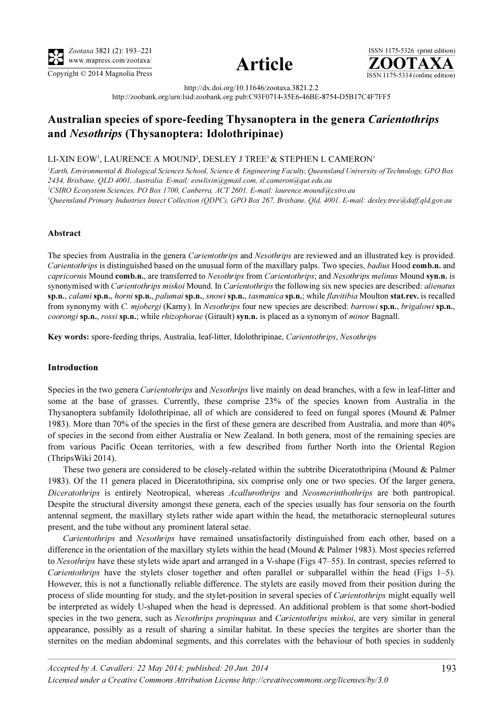





http://dx.doi.org/10.11646/zootaxa.3821.2.2 http://zoobank.org/urn:lsid:zoobank.org:pub:C93F0714-35E6-46BE-8754-D5B17C4F7FF5

# Australian species of spore-feeding Thysanoptera in the genera Carientothrips and Nesothrips (Thysanoptera: Idolothripinae)

## LI-XIN EOW<sup>1</sup>, LAURENCE A MOUND<sup>2</sup>, DESLEY J TREE<sup>3</sup>  $\&$  STEPHEN L CAMERON<sup>1</sup>

<sup>1</sup>Earth, Environmental & Biological Sciences School, Science & Engineering Faculty, Queensland University of Technology, GPO Box 2434, Brisbane, QLD 4001, Australia. E-mail: eowlixin@gmail.com, sl.cameron@qut.edu.au 2 CSIRO Ecosystem Sciences, PO Box 1700, Canberra, ACT 2601. E-mail: laurence.mound@csiro.au 3 Queensland Primary Industries Insect Collection (QDPC), GPO Box 267, Brisbane, Qld, 4001. E-mail: desley.tree@daff.qld.gov.au

#### Abstract

The species from Australia in the genera *Carientothrips* and *Nesothrips* are reviewed and an illustrated key is provided. Carientothrips is distinguished based on the unusual form of the maxillary palps. Two species, badius Hood comb.n. and capricornis Mound comb.n., are transferred to Nesothrips from Carientothrips; and Nesothrips melinus Mound syn.n. is synonymised with Carientothrips miskoi Mound. In Carientothrips the following six new species are described: alienatus sp.n., calami sp.n., horni sp.n., palumai sp.n., snowi sp.n., tasmanica sp.n.; while flavitibia Moulton stat.rev. is recalled from synonymy with C. mjobergi (Karny). In Nesothrips four new species are described: barrowi sp.n., brigalowi sp.n., coorongi sp.n., rossi sp.n.; while rhizophorae (Girault) syn.n. is placed as a synonym of *minor* Bagnall.

Key words: spore-feeding thrips, Australia, leaf-litter, Idolothripinae, Carientothrips, Nesothrips

#### Introduction

Species in the two genera Carientothrips and Nesothrips live mainly on dead branches, with a few in leaf-litter and some at the base of grasses. Currently, these comprise 23% of the species known from Australia in the Thysanoptera subfamily Idolothripinae, all of which are considered to feed on fungal spores (Mound & Palmer 1983). More than 70% of the species in the first of these genera are described from Australia, and more than 40% of species in the second from either Australia or New Zealand. In both genera, most of the remaining species are from various Pacific Ocean territories, with a few described from further North into the Oriental Region (ThripsWiki 2014).

These two genera are considered to be closely-related within the subtribe Diceratothripina (Mound & Palmer 1983). Of the 11 genera placed in Diceratothripina, six comprise only one or two species. Of the larger genera, Diceratothrips is entirely Neotropical, whereas Acallurothrips and Neosmerinthothrips are both pantropical. Despite the structural diversity amongst these genera, each of the species usually has four sensoria on the fourth antennal segment, the maxillary stylets rather wide apart within the head, the metathoracic sternopleural sutures present, and the tube without any prominent lateral setae.

Carientothrips and Nesothrips have remained unsatisfactorily distinguished from each other, based on a difference in the orientation of the maxillary stylets within the head (Mound & Palmer 1983). Most species referred to Nesothrips have these stylets wide apart and arranged in a V-shape (Figs 47–55). In contrast, species referred to Carientothrips have the stylets closer together and often parallel or subparallel within the head (Figs 1–5). However, this is not a functionally reliable difference. The stylets are easily moved from their position during the process of slide mounting for study, and the stylet-position in several species of *Carientothrips* might equally well be interpreted as widely U-shaped when the head is depressed. An additional problem is that some short-bodied species in the two genera, such as *Nesothrips propinquus* and *Carientothrips miskoi*, are very similar in general appearance, possibly as a result of sharing a similar habitat. In these species the tergites are shorter than the sternites on the median abdominal segments, and this correlates with the behaviour of both species in suddenly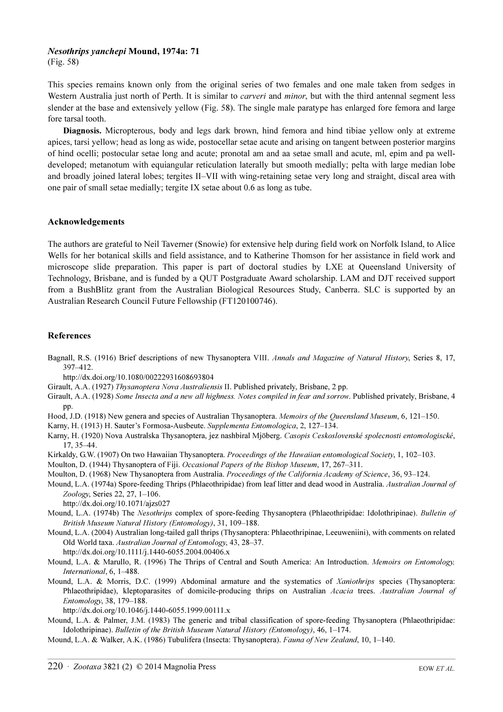# Nesothrips yanchepi Mound, 1974a: 71

(Fig. 58)

This species remains known only from the original series of two females and one male taken from sedges in Western Australia just north of Perth. It is similar to *carveri* and *minor*, but with the third antennal segment less slender at the base and extensively yellow (Fig. 58). The single male paratype has enlarged fore femora and large fore tarsal tooth.

Diagnosis. Micropterous, body and legs dark brown, hind femora and hind tibiae yellow only at extreme apices, tarsi yellow; head as long as wide, postocellar setae acute and arising on tangent between posterior margins of hind ocelli; postocular setae long and acute; pronotal am and aa setae small and acute, ml, epim and pa welldeveloped; metanotum with equiangular reticulation laterally but smooth medially; pelta with large median lobe and broadly joined lateral lobes; tergites II–VII with wing-retaining setae very long and straight, discal area with one pair of small setae medially; tergite IX setae about 0.6 as long as tube.

### Acknowledgements

The authors are grateful to Neil Taverner (Snowie) for extensive help during field work on Norfolk Island, to Alice Wells for her botanical skills and field assistance, and to Katherine Thomson for her assistance in field work and microscope slide preparation. This paper is part of doctoral studies by LXE at Queensland University of Technology, Brisbane, and is funded by a QUT Postgraduate Award scholarship. LAM and DJT received support from a BushBlitz grant from the Australian Biological Resources Study, Canberra. SLC is supported by an Australian Research Council Future Fellowship (FT120100746).

### References

- Bagnall, R.S. (1916) Brief descriptions of new Thysanoptera VIII. Annals and Magazine of Natural History, Series 8, 17, 397–412.
- http://dx.doi.org/10.1080/00222931608693804
- Girault, A.A. (1927) Thysanoptera Nova Australiensis II. Published privately, Brisbane, 2 pp.
- Girault, A.A. (1928) Some Insecta and a new all highness. Notes compiled in fear and sorrow. Published privately, Brisbane, 4 pp.
- Hood, J.D. (1918) New genera and species of Australian Thysanoptera. Memoirs of the Queensland Museum, 6, 121–150.
- Karny, H. (1913) H. Sauter's Formosa-Ausbeute. Supplementa Entomologica, 2, 127–134.
- Karny, H. (1920) Nova Australska Thysanoptera, jez nashbiral Mjöberg. Casopis Ceskoslovenské spolecnosti entomologiscké, 17, 35–44.
- Kirkaldy, G.W. (1907) On two Hawaiian Thysanoptera. Proceedings of the Hawaiian entomological Society, 1, 102-103.
- Moulton, D. (1944) Thysanoptera of Fiji. Occasional Papers of the Bishop Museum, 17, 267–311.
- Moulton, D. (1968) New Thysanoptera from Australia. Proceedings of the California Academy of Science, 36, 93–124.
- Mound, L.A. (1974a) Spore-feeding Thrips (Phlaeothripidae) from leaf litter and dead wood in Australia. Australian Journal of Zoology[, Series 22, 27, 1–106.](http://dx.doi.org/10.1071/ajzs027) 
	- [h](http://dx.doi.org/10.1071/ajzs027)ttp://dx.doi.org/10.1071/ajzs027
- Mound, L.A. (1974b) The Nesothrips complex of spore-feeding Thysanoptera (Phlaeothripidae: Idolothripinae). Bulletin of British Museum Natural History (Entomology), 31, 109–188.
- Mound, L.A. (2004) Australian long-tailed gall thrips (Thysanoptera: Phlaeothripinae, Leeuweniini), with comments on related Old World taxa. Australian Journal of Entomology[, 43, 28–37.](http://dx.doi.org/10.1111/j.1440-6055.2004.00406.x)  [h](http://dx.doi.org/10.1111/j.1440-6055.2004.00406.x)ttp://dx.doi.org/10.1111/j.1440-6055.2004.00406.x
- Mound, L.A. & Marullo, R. (1996) The Thrips of Central and South America: An Introduction. Memoirs on Entomology, International, 6, 1–488.
- Mound, L.A. & Morris, D.C. (1999) Abdominal armature and the systematics of Xaniothrips species (Thysanoptera: Phlaeothripidae), kleptoparasites of domicile-producing thrips on Australian Acacia trees. Australian Journal of Entomology[, 38, 179–188.](http://dx.doi.org/10.1046/j.1440-6055.1999.00111.x)

[h](http://dx.doi.org/10.1046/j.1440-6055.1999.00111.x)ttp://dx.doi.org/10.1046/j.1440-6055.1999.00111.x

- Mound, L.A. & Palmer, J.M. (1983) The generic and tribal classification of spore-feeding Thysanoptera (Phlaeothripidae: Idolothripinae). Bulletin of the British Museum Natural History (Entomology), 46, 1–174.
- Mound, L.A. & Walker, A.K. (1986) Tubulifera (Insecta: Thysanoptera). Fauna of New Zealand, 10, 1–140.